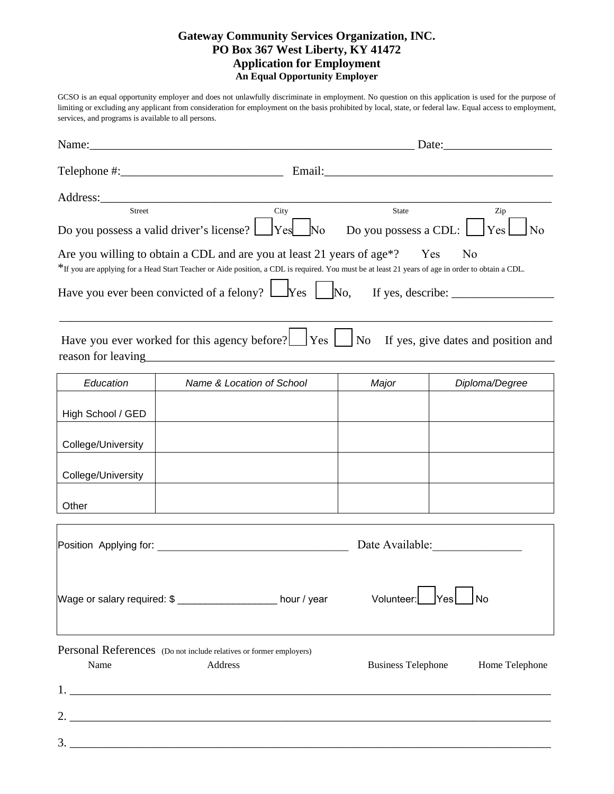## **Gateway Community Services Organization, INC. PO Box 367 West Liberty, KY 41472 Application for Employment An Equal Opportunity Employer**

GCSO is an equal opportunity employer and does not unlawfully discriminate in employment. No question on this application is used for the purpose of limiting or excluding any applicant from consideration for employment on the basis prohibited by local, state, or federal law. Equal access to employment, services, and programs is available to all persons.

| Name:                                                                                                |                                                                                                                                                                                                                                                                                                                                     | Date:                                 |                                                                                                                                                                                                                                |  |  |  |
|------------------------------------------------------------------------------------------------------|-------------------------------------------------------------------------------------------------------------------------------------------------------------------------------------------------------------------------------------------------------------------------------------------------------------------------------------|---------------------------------------|--------------------------------------------------------------------------------------------------------------------------------------------------------------------------------------------------------------------------------|--|--|--|
|                                                                                                      |                                                                                                                                                                                                                                                                                                                                     |                                       | Email: 2008 Contract Contract Contract Contract Contract Contract Contract Contract Contract Contract Contract Contract Contract Contract Contract Contract Contract Contract Contract Contract Contract Contract Contract Con |  |  |  |
| <b>Street</b>                                                                                        | City<br>Do you possess a valid driver's license? L<br>Yes<br>No                                                                                                                                                                                                                                                                     | <b>State</b><br>Do you possess a CDL: | Zip<br>Yes<br>N <sub>0</sub>                                                                                                                                                                                                   |  |  |  |
|                                                                                                      | Are you willing to obtain a CDL and are you at least 21 years of age <sup>*?</sup><br>*If you are applying for a Head Start Teacher or Aide position, a CDL is required. You must be at least 21 years of age in order to obtain a CDL.<br>Have you ever been convicted of a felony? $\Box$ Yes $\Box$ No, If yes, describe: $\Box$ |                                       | Yes<br>N <sub>0</sub>                                                                                                                                                                                                          |  |  |  |
| Have you ever worked for this agency before? $\Box$ Yes<br>If yes, give dates and position and<br>No |                                                                                                                                                                                                                                                                                                                                     |                                       |                                                                                                                                                                                                                                |  |  |  |
| Education                                                                                            | Name & Location of School                                                                                                                                                                                                                                                                                                           | Major                                 | Diploma/Degree                                                                                                                                                                                                                 |  |  |  |
| High School / GED                                                                                    |                                                                                                                                                                                                                                                                                                                                     |                                       |                                                                                                                                                                                                                                |  |  |  |
| College/University                                                                                   |                                                                                                                                                                                                                                                                                                                                     |                                       |                                                                                                                                                                                                                                |  |  |  |
| College/University                                                                                   |                                                                                                                                                                                                                                                                                                                                     |                                       |                                                                                                                                                                                                                                |  |  |  |
| Other                                                                                                |                                                                                                                                                                                                                                                                                                                                     |                                       |                                                                                                                                                                                                                                |  |  |  |
|                                                                                                      |                                                                                                                                                                                                                                                                                                                                     |                                       | Date Available:                                                                                                                                                                                                                |  |  |  |
|                                                                                                      | Wage or salary required: \$ ___________________ hour / year                                                                                                                                                                                                                                                                         | Volunteer:                            | <b>No</b>                                                                                                                                                                                                                      |  |  |  |
| Name                                                                                                 | Personal References (Do not include relatives or former employers)<br>Address                                                                                                                                                                                                                                                       | <b>Business Telephone</b>             | Home Telephone                                                                                                                                                                                                                 |  |  |  |
|                                                                                                      |                                                                                                                                                                                                                                                                                                                                     |                                       |                                                                                                                                                                                                                                |  |  |  |
| 2.                                                                                                   |                                                                                                                                                                                                                                                                                                                                     |                                       |                                                                                                                                                                                                                                |  |  |  |
|                                                                                                      |                                                                                                                                                                                                                                                                                                                                     |                                       |                                                                                                                                                                                                                                |  |  |  |